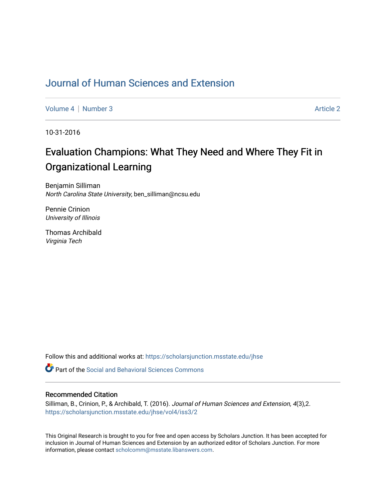## [Journal of Human Sciences and Extension](https://scholarsjunction.msstate.edu/jhse)

[Volume 4](https://scholarsjunction.msstate.edu/jhse/vol4) | [Number 3](https://scholarsjunction.msstate.edu/jhse/vol4/iss3) Article 2

10-31-2016

# Evaluation Champions: What They Need and Where They Fit in Organizational Learning

Benjamin Silliman North Carolina State University, ben\_silliman@ncsu.edu

Pennie Crinion University of Illinois

Thomas Archibald Virginia Tech

Follow this and additional works at: [https://scholarsjunction.msstate.edu/jhse](https://scholarsjunction.msstate.edu/jhse?utm_source=scholarsjunction.msstate.edu%2Fjhse%2Fvol4%2Fiss3%2F2&utm_medium=PDF&utm_campaign=PDFCoverPages)

**C** Part of the Social and Behavioral Sciences Commons

#### Recommended Citation

Silliman, B., Crinion, P., & Archibald, T. (2016). Journal of Human Sciences and Extension, 4(3),2. [https://scholarsjunction.msstate.edu/jhse/vol4/iss3/2](https://scholarsjunction.msstate.edu/jhse/vol4/iss3/2?utm_source=scholarsjunction.msstate.edu%2Fjhse%2Fvol4%2Fiss3%2F2&utm_medium=PDF&utm_campaign=PDFCoverPages)

This Original Research is brought to you for free and open access by Scholars Junction. It has been accepted for inclusion in Journal of Human Sciences and Extension by an authorized editor of Scholars Junction. For more information, please contact [scholcomm@msstate.libanswers.com](mailto:scholcomm@msstate.libanswers.com).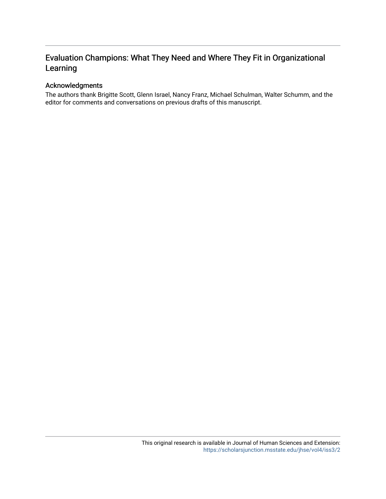## Evaluation Champions: What They Need and Where They Fit in Organizational Learning

#### Acknowledgments

The authors thank Brigitte Scott, Glenn Israel, Nancy Franz, Michael Schulman, Walter Schumm, and the editor for comments and conversations on previous drafts of this manuscript.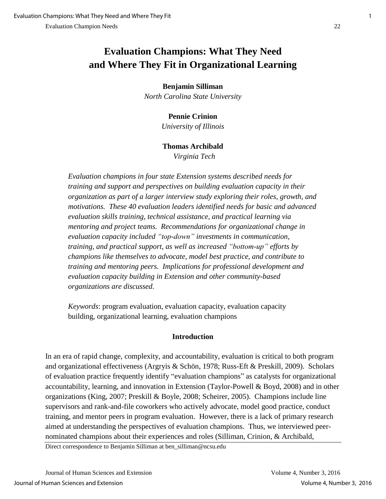## **Evaluation Champions: What They Need and Where They Fit in Organizational Learning**

#### **Benjamin Silliman**

*North Carolina State University* 

#### **Pennie Crinion**

*University of Illinois* 

#### **Thomas Archibald**

*Virginia Tech* 

*Evaluation champions in four state Extension systems described needs for training and support and perspectives on building evaluation capacity in their organization as part of a larger interview study exploring their roles, growth, and motivations. These 40 evaluation leaders identified needs for basic and advanced evaluation skills training, technical assistance, and practical learning via mentoring and project teams. Recommendations for organizational change in evaluation capacity included "top-down" investments in communication, training, and practical support, as well as increased "bottom-up" efforts by champions like themselves to advocate, model best practice, and contribute to training and mentoring peers. Implications for professional development and evaluation capacity building in Extension and other community-based organizations are discussed.*

*Keywords*: program evaluation, evaluation capacity, evaluation capacity building, organizational learning, evaluation champions

#### **Introduction**

In an era of rapid change, complexity, and accountability, evaluation is critical to both program and organizational effectiveness (Argryis & Schön, 1978; Russ-Eft & Preskill, 2009). Scholars of evaluation practice frequently identify "evaluation champions" as catalysts for organizational accountability, learning, and innovation in Extension (Taylor-Powell & Boyd, 2008) and in other organizations (King, 2007; Preskill & Boyle, 2008; Scheirer, 2005). Champions include line supervisors and rank-and-file coworkers who actively advocate, model good practice, conduct training, and mentor peers in program evaluation. However, there is a lack of primary research aimed at understanding the perspectives of evaluation champions. Thus, we interviewed peernominated champions about their experiences and roles (Silliman, Crinion, & Archibald,

Direct correspondence to Benjamin Silliman at ben\_silliman@ncsu.edu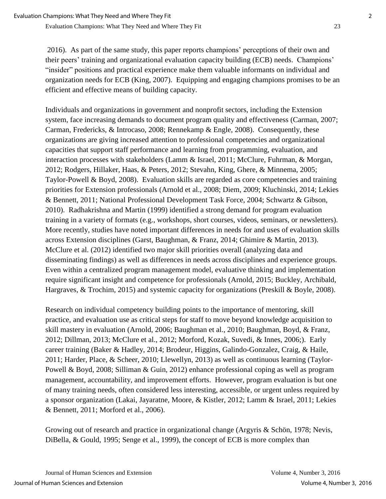2016). As part of the same study, this paper reports champions' perceptions of their own and their peers' training and organizational evaluation capacity building (ECB) needs. Champions' "insider" positions and practical experience make them valuable informants on individual and organization needs for ECB (King, 2007). Equipping and engaging champions promises to be an efficient and effective means of building capacity.

Individuals and organizations in government and nonprofit sectors, including the Extension system, face increasing demands to document program quality and effectiveness (Carman, 2007; Carman, Fredericks, & Introcaso, 2008; Rennekamp & Engle, 2008). Consequently, these organizations are giving increased attention to professional competencies and organizational capacities that support staff performance and learning from programming, evaluation, and interaction processes with stakeholders (Lamm & Israel, 2011; McClure, Fuhrman, & Morgan, 2012; Rodgers, Hillaker, Haas, & Peters, 2012; Stevahn, King, Ghere, & Minnema, 2005; Taylor-Powell & Boyd, 2008). Evaluation skills are regarded as core competencies and training priorities for Extension professionals (Arnold et al., 2008; Diem, 2009; Kluchinski, 2014; Lekies & Bennett, 2011; National Professional Development Task Force, 2004; Schwartz & Gibson, 2010). Radhakrishna and Martin (1999) identified a strong demand for program evaluation training in a variety of formats (e.g., workshops, short courses, videos, seminars, or newsletters). More recently, studies have noted important differences in needs for and uses of evaluation skills across Extension disciplines (Garst, Baughman, & Franz, 2014; Ghimire & Martin, 2013). McClure et al. (2012) identified two major skill priorities overall (analyzing data and disseminating findings) as well as differences in needs across disciplines and experience groups. Even within a centralized program management model, evaluative thinking and implementation require significant insight and competence for professionals (Arnold, 2015; Buckley, Archibald, Hargraves, & Trochim, 2015) and systemic capacity for organizations (Preskill & Boyle, 2008).

Research on individual competency building points to the importance of mentoring, skill practice, and evaluation use as critical steps for staff to move beyond knowledge acquisition to skill mastery in evaluation (Arnold, 2006; Baughman et al., 2010; Baughman, Boyd, & Franz, 2012; Dillman, 2013; McClure et al., 2012; Morford, Kozak, Suvedi, & Innes, 2006;). Early career training (Baker & Hadley, 2014; Brodeur, Higgins, Galindo-Gonzalez, Craig, & Haile, 2011; Harder, Place, & Scheer, 2010; Llewellyn, 2013) as well as continuous learning (Taylor-Powell & Boyd, 2008; Silliman & Guin, 2012) enhance professional coping as well as program management, accountability, and improvement efforts. However, program evaluation is but one of many training needs, often considered less interesting, accessible, or urgent unless required by a sponsor organization (Lakai, Jayaratne, Moore, & Kistler, 2012; Lamm & Israel, 2011; Lekies & Bennett, 2011; Morford et al., 2006).

Growing out of research and practice in organizational change (Argyris & Schön, 1978; Nevis, DiBella, & Gould, 1995; Senge et al., 1999), the concept of ECB is more complex than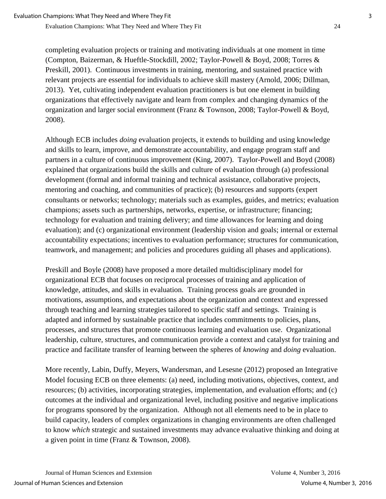completing evaluation projects or training and motivating individuals at one moment in time (Compton, Baizerman, & Hueftle-Stockdill, 2002; Taylor-Powell & Boyd, 2008; Torres & Preskill, 2001). Continuous investments in training, mentoring, and sustained practice with relevant projects are essential for individuals to achieve skill mastery (Arnold, 2006; Dillman, 2013). Yet, cultivating independent evaluation practitioners is but one element in building organizations that effectively navigate and learn from complex and changing dynamics of the organization and larger social environment (Franz & Townson, 2008; Taylor-Powell & Boyd, 2008).

Although ECB includes *doing* evaluation projects, it extends to building and using knowledge and skills to learn, improve, and demonstrate accountability, and engage program staff and partners in a culture of continuous improvement (King, 2007). Taylor-Powell and Boyd (2008) explained that organizations build the skills and culture of evaluation through (a) professional development (formal and informal training and technical assistance, collaborative projects, mentoring and coaching, and communities of practice); (b) resources and supports (expert consultants or networks; technology; materials such as examples, guides, and metrics; evaluation champions; assets such as partnerships, networks, expertise, or infrastructure; financing; technology for evaluation and training delivery; and time allowances for learning and doing evaluation); and (c) organizational environment (leadership vision and goals; internal or external accountability expectations; incentives to evaluation performance; structures for communication, teamwork, and management; and policies and procedures guiding all phases and applications).

Preskill and Boyle (2008) have proposed a more detailed multidisciplinary model for organizational ECB that focuses on reciprocal processes of training and application of knowledge, attitudes, and skills in evaluation. Training process goals are grounded in motivations, assumptions, and expectations about the organization and context and expressed through teaching and learning strategies tailored to specific staff and settings. Training is adapted and informed by sustainable practice that includes commitments to policies, plans, processes, and structures that promote continuous learning and evaluation use. Organizational leadership, culture, structures, and communication provide a context and catalyst for training and practice and facilitate transfer of learning between the spheres of *knowing* and *doing* evaluation.

More recently, Labin, Duffy, Meyers, Wandersman, and Lesesne (2012) proposed an Integrative Model focusing ECB on three elements: (a) need, including motivations, objectives, context, and resources; (b) activities, incorporating strategies, implementation, and evaluation efforts; and (c) outcomes at the individual and organizational level, including positive and negative implications for programs sponsored by the organization. Although not all elements need to be in place to build capacity, leaders of complex organizations in changing environments are often challenged to know *which* strategic and sustained investments may advance evaluative thinking and doing at a given point in time (Franz & Townson, 2008).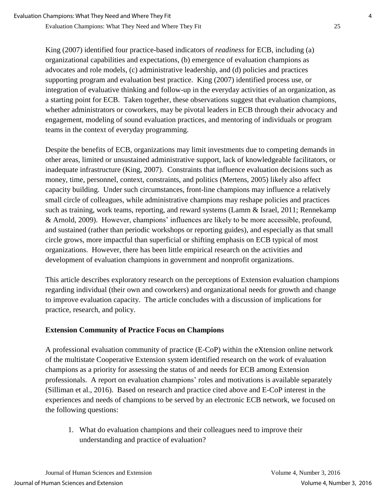King (2007) identified four practice-based indicators of *readiness* for ECB, including (a) organizational capabilities and expectations, (b) emergence of evaluation champions as advocates and role models, (c) administrative leadership, and (d) policies and practices supporting program and evaluation best practice. King (2007) identified process use, or integration of evaluative thinking and follow-up in the everyday activities of an organization, as a starting point for ECB. Taken together, these observations suggest that evaluation champions, whether administrators or coworkers, may be pivotal leaders in ECB through their advocacy and engagement, modeling of sound evaluation practices, and mentoring of individuals or program teams in the context of everyday programming.

Despite the benefits of ECB, organizations may limit investments due to competing demands in other areas, limited or unsustained administrative support, lack of knowledgeable facilitators, or inadequate infrastructure (King, 2007). Constraints that influence evaluation decisions such as money, time, personnel, context, constraints, and politics (Mertens, 2005) likely also affect capacity building. Under such circumstances, front-line champions may influence a relatively small circle of colleagues, while administrative champions may reshape policies and practices such as training, work teams, reporting, and reward systems (Lamm & Israel, 2011; Rennekamp & Arnold, 2009). However, champions' influences are likely to be more accessible, profound, and sustained (rather than periodic workshops or reporting guides), and especially as that small circle grows, more impactful than superficial or shifting emphasis on ECB typical of most organizations. However, there has been little empirical research on the activities and development of evaluation champions in government and nonprofit organizations.

This article describes exploratory research on the perceptions of Extension evaluation champions regarding individual (their own and coworkers) and organizational needs for growth and change to improve evaluation capacity. The article concludes with a discussion of implications for practice, research, and policy.

### **Extension Community of Practice Focus on Champions**

A professional evaluation community of practice (E-CoP) within the eXtension online network of the multistate Cooperative Extension system identified research on the work of evaluation champions as a priority for assessing the status of and needs for ECB among Extension professionals. A report on evaluation champions' roles and motivations is available separately (Silliman et al., 2016). Based on research and practice cited above and E-CoP interest in the experiences and needs of champions to be served by an electronic ECB network, we focused on the following questions:

1. What do evaluation champions and their colleagues need to improve their understanding and practice of evaluation?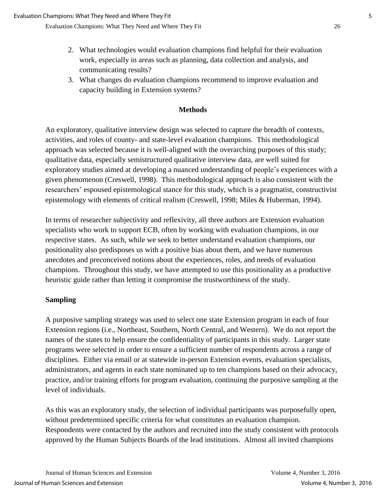- 2. What technologies would evaluation champions find helpful for their evaluation work, especially in areas such as planning, data collection and analysis, and communicating results?
- 3. What changes do evaluation champions recommend to improve evaluation and capacity building in Extension systems?

#### **Methods**

An exploratory, qualitative interview design was selected to capture the breadth of contexts, activities, and roles of county- and state-level evaluation champions. This methodological approach was selected because it is well-aligned with the overarching purposes of this study; qualitative data, especially semistructured qualitative interview data, are well suited for exploratory studies aimed at developing a nuanced understanding of people's experiences with a given phenomenon (Creswell, 1998). This methodological approach is also consistent with the researchers' espoused epistemological stance for this study, which is a pragmatist, constructivist epistemology with elements of critical realism (Creswell, 1998; Miles & Huberman, 1994).

In terms of researcher subjectivity and reflexivity, all three authors are Extension evaluation specialists who work to support ECB, often by working with evaluation champions, in our respective states. As such, while we seek to better understand evaluation champions, our positionality also predisposes us with a positive bias about them, and we have numerous anecdotes and preconceived notions about the experiences, roles, and needs of evaluation champions. Throughout this study, we have attempted to use this positionality as a productive heuristic guide rather than letting it compromise the trustworthiness of the study.

#### **Sampling**

A purposive sampling strategy was used to select one state Extension program in each of four Extension regions (i.e., Northeast, Southern, North Central, and Western). We do not report the names of the states to help ensure the confidentiality of participants in this study. Larger state programs were selected in order to ensure a sufficient number of respondents across a range of disciplines. Either via email or at statewide in-person Extension events, evaluation specialists, administrators, and agents in each state nominated up to ten champions based on their advocacy, practice, and/or training efforts for program evaluation, continuing the purposive sampling at the level of individuals.

As this was an exploratory study, the selection of individual participants was purposefully open, without predetermined specific criteria for what constitutes an evaluation champion. Respondents were contacted by the authors and recruited into the study consistent with protocols approved by the Human Subjects Boards of the lead institutions. Almost all invited champions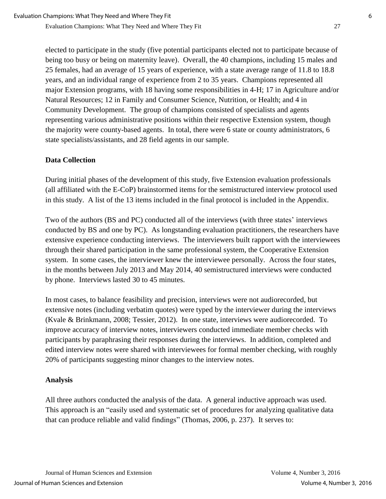elected to participate in the study (five potential participants elected not to participate because of being too busy or being on maternity leave). Overall, the 40 champions, including 15 males and 25 females, had an average of 15 years of experience, with a state average range of 11.8 to 18.8 years, and an individual range of experience from 2 to 35 years. Champions represented all major Extension programs, with 18 having some responsibilities in 4-H; 17 in Agriculture and/or Natural Resources; 12 in Family and Consumer Science, Nutrition, or Health; and 4 in Community Development. The group of champions consisted of specialists and agents representing various administrative positions within their respective Extension system, though the majority were county-based agents. In total, there were 6 state or county administrators, 6 state specialists/assistants, and 28 field agents in our sample.

### **Data Collection**

During initial phases of the development of this study, five Extension evaluation professionals (all affiliated with the E-CoP) brainstormed items for the semistructured interview protocol used in this study. A list of the 13 items included in the final protocol is included in the Appendix.

Two of the authors (BS and PC) conducted all of the interviews (with three states' interviews conducted by BS and one by PC). As longstanding evaluation practitioners, the researchers have extensive experience conducting interviews. The interviewers built rapport with the interviewees through their shared participation in the same professional system, the Cooperative Extension system. In some cases, the interviewer knew the interviewee personally. Across the four states, in the months between July 2013 and May 2014, 40 semistructured interviews were conducted by phone. Interviews lasted 30 to 45 minutes.

In most cases, to balance feasibility and precision, interviews were not audiorecorded, but extensive notes (including verbatim quotes) were typed by the interviewer during the interviews (Kvale & Brinkmann, 2008; Tessier, 2012). In one state, interviews were audiorecorded. To improve accuracy of interview notes, interviewers conducted immediate member checks with participants by paraphrasing their responses during the interviews. In addition, completed and edited interview notes were shared with interviewees for formal member checking, with roughly 20% of participants suggesting minor changes to the interview notes.

### **Analysis**

All three authors conducted the analysis of the data. A general inductive approach was used. This approach is an "easily used and systematic set of procedures for analyzing qualitative data that can produce reliable and valid findings" (Thomas, 2006, p. 237). It serves to: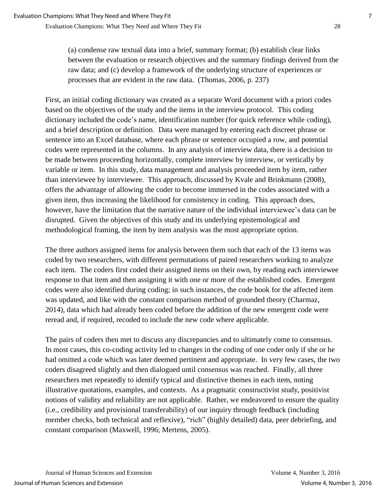(a) condense raw textual data into a brief, summary format; (b) establish clear links between the evaluation or research objectives and the summary findings derived from the raw data; and (c) develop a framework of the underlying structure of experiences or processes that are evident in the raw data. (Thomas, 2006, p. 237)

First, an initial coding dictionary was created as a separate Word document with a priori codes based on the objectives of the study and the items in the interview protocol. This coding dictionary included the code's name, identification number (for quick reference while coding), and a brief description or definition. Data were managed by entering each discreet phrase or sentence into an Excel database, where each phrase or sentence occupied a row, and potential codes were represented in the columns. In any analysis of interview data, there is a decision to be made between proceeding horizontally, complete interview by interview, or vertically by variable or item. In this study, data management and analysis proceeded item by item, rather than interviewee by interviewee. This approach, discussed by Kvale and Brinkmann (2008), offers the advantage of allowing the coder to become immersed in the codes associated with a given item, thus increasing the likelihood for consistency in coding. This approach does, however, have the limitation that the narrative nature of the individual interviewee's data can be disrupted. Given the objectives of this study and its underlying epistemological and methodological framing, the item by item analysis was the most appropriate option.

The three authors assigned items for analysis between them such that each of the 13 items was coded by two researchers, with different permutations of paired researchers working to analyze each item. The coders first coded their assigned items on their own, by reading each interviewee response to that item and then assigning it with one or more of the established codes. Emergent codes were also identified during coding; in such instances, the code book for the affected item was updated, and like with the constant comparison method of grounded theory (Charmaz, 2014), data which had already been coded before the addition of the new emergent code were reread and, if required, recoded to include the new code where applicable.

The pairs of coders then met to discuss any discrepancies and to ultimately come to consensus. In most cases, this co-coding activity led to changes in the coding of one coder only if she or he had omitted a code which was later deemed pertinent and appropriate. In very few cases, the two coders disagreed slightly and then dialogued until consensus was reached. Finally, all three researchers met repeatedly to identify typical and distinctive themes in each item, noting illustrative quotations, examples, and contexts. As a pragmatic constructivist study, positivist notions of validity and reliability are not applicable. Rather, we endeavored to ensure the quality (i.e., credibility and provisional transferability) of our inquiry through feedback (including member checks, both technical and reflexive), "rich" (highly detailed) data, peer debriefing, and constant comparison (Maxwell, 1996; Mertens, 2005).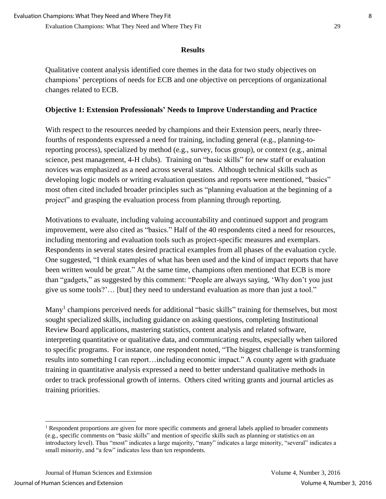#### **Results**

Qualitative content analysis identified core themes in the data for two study objectives on champions' perceptions of needs for ECB and one objective on perceptions of organizational changes related to ECB.

#### **Objective 1: Extension Professionals' Needs to Improve Understanding and Practice**

With respect to the resources needed by champions and their Extension peers, nearly threefourths of respondents expressed a need for training, including general (e.g., planning-toreporting process), specialized by method (e.g., survey, focus group), or context (e.g., animal science, pest management, 4-H clubs). Training on "basic skills" for new staff or evaluation novices was emphasized as a need across several states. Although technical skills such as developing logic models or writing evaluation questions and reports were mentioned, "basics" most often cited included broader principles such as "planning evaluation at the beginning of a project" and grasping the evaluation process from planning through reporting.

Motivations to evaluate, including valuing accountability and continued support and program improvement, were also cited as "basics." Half of the 40 respondents cited a need for resources, including mentoring and evaluation tools such as project-specific measures and exemplars. Respondents in several states desired practical examples from all phases of the evaluation cycle. One suggested, "I think examples of what has been used and the kind of impact reports that have been written would be great." At the same time, champions often mentioned that ECB is more than "gadgets," as suggested by this comment: "People are always saying, 'Why don't you just give us some tools?'… [but] they need to understand evaluation as more than just a tool."

Many<sup>1</sup> champions perceived needs for additional "basic skills" training for themselves, but most sought specialized skills, including guidance on asking questions, completing Institutional Review Board applications, mastering statistics, content analysis and related software, interpreting quantitative or qualitative data, and communicating results, especially when tailored to specific programs. For instance, one respondent noted, "The biggest challenge is transforming results into something I can report…including economic impact." A county agent with graduate training in quantitative analysis expressed a need to better understand qualitative methods in order to track professional growth of interns. Others cited writing grants and journal articles as training priorities.

 $\overline{a}$ 

<sup>&</sup>lt;sup>1</sup> Respondent proportions are given for more specific comments and general labels applied to broader comments (e.g., specific comments on "basic skills" and mention of specific skills such as planning or statistics on an introductory level). Thus "most" indicates a large majority, "many" indicates a large minority, "several" indicates a small minority, and "a few" indicates less than ten respondents.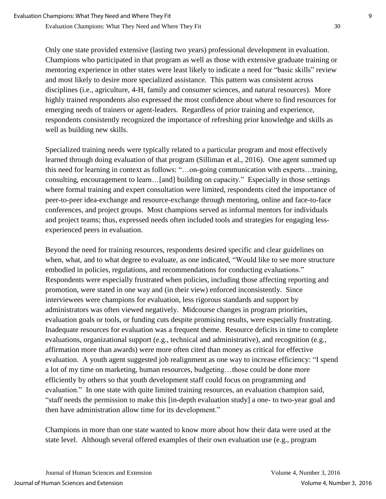Only one state provided extensive (lasting two years) professional development in evaluation. Champions who participated in that program as well as those with extensive graduate training or mentoring experience in other states were least likely to indicate a need for "basic skills" review and most likely to desire more specialized assistance. This pattern was consistent across disciplines (i.e., agriculture, 4-H, family and consumer sciences, and natural resources). More highly trained respondents also expressed the most confidence about where to find resources for emerging needs of trainers or agent-leaders. Regardless of prior training and experience, respondents consistently recognized the importance of refreshing prior knowledge and skills as well as building new skills.

Specialized training needs were typically related to a particular program and most effectively learned through doing evaluation of that program (Silliman et al., 2016). One agent summed up this need for learning in context as follows: "…on-going communication with experts…training, consulting, encouragement to learn…[and] building on capacity." Especially in those settings where formal training and expert consultation were limited, respondents cited the importance of peer-to-peer idea-exchange and resource-exchange through mentoring, online and face-to-face conferences, and project groups. Most champions served as informal mentors for individuals and project teams; thus, expressed needs often included tools and strategies for engaging lessexperienced peers in evaluation.

Beyond the need for training resources, respondents desired specific and clear guidelines on when, what, and to what degree to evaluate, as one indicated, "Would like to see more structure embodied in policies, regulations, and recommendations for conducting evaluations." Respondents were especially frustrated when policies, including those affecting reporting and promotion, were stated in one way and (in their view) enforced inconsistently. Since interviewees were champions for evaluation, less rigorous standards and support by administrators was often viewed negatively. Midcourse changes in program priorities, evaluation goals or tools, or funding cuts despite promising results, were especially frustrating. Inadequate resources for evaluation was a frequent theme. Resource deficits in time to complete evaluations, organizational support (e.g., technical and administrative), and recognition (e.g., affirmation more than awards) were more often cited than money as critical for effective evaluation. A youth agent suggested job realignment as one way to increase efficiency: "I spend a lot of my time on marketing, human resources, budgeting…those could be done more efficiently by others so that youth development staff could focus on programming and evaluation." In one state with quite limited training resources, an evaluation champion said, "staff needs the permission to make this [in-depth evaluation study] a one- to two-year goal and then have administration allow time for its development."

Champions in more than one state wanted to know more about how their data were used at the state level. Although several offered examples of their own evaluation use (e.g., program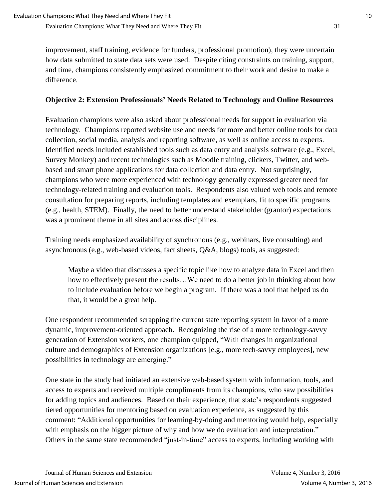improvement, staff training, evidence for funders, professional promotion), they were uncertain how data submitted to state data sets were used. Despite citing constraints on training, support, and time, champions consistently emphasized commitment to their work and desire to make a difference.

## **Objective 2: Extension Professionals' Needs Related to Technology and Online Resources**

Evaluation champions were also asked about professional needs for support in evaluation via technology. Champions reported website use and needs for more and better online tools for data collection, social media, analysis and reporting software, as well as online access to experts. Identified needs included established tools such as data entry and analysis software (e.g., Excel, Survey Monkey) and recent technologies such as Moodle training, clickers, Twitter, and webbased and smart phone applications for data collection and data entry. Not surprisingly, champions who were more experienced with technology generally expressed greater need for technology-related training and evaluation tools. Respondents also valued web tools and remote consultation for preparing reports, including templates and exemplars, fit to specific programs (e.g., health, STEM). Finally, the need to better understand stakeholder (grantor) expectations was a prominent theme in all sites and across disciplines.

Training needs emphasized availability of synchronous (e.g., webinars, live consulting) and asynchronous (e.g., web-based videos, fact sheets, Q&A, blogs) tools, as suggested:

Maybe a video that discusses a specific topic like how to analyze data in Excel and then how to effectively present the results…We need to do a better job in thinking about how to include evaluation before we begin a program. If there was a tool that helped us do that, it would be a great help.

One respondent recommended scrapping the current state reporting system in favor of a more dynamic, improvement-oriented approach. Recognizing the rise of a more technology-savvy generation of Extension workers, one champion quipped, "With changes in organizational culture and demographics of Extension organizations [e.g., more tech-savvy employees], new possibilities in technology are emerging."

One state in the study had initiated an extensive web-based system with information, tools, and access to experts and received multiple compliments from its champions, who saw possibilities for adding topics and audiences. Based on their experience, that state's respondents suggested tiered opportunities for mentoring based on evaluation experience, as suggested by this comment: "Additional opportunities for learning-by-doing and mentoring would help, especially with emphasis on the bigger picture of why and how we do evaluation and interpretation." Others in the same state recommended "just-in-time" access to experts, including working with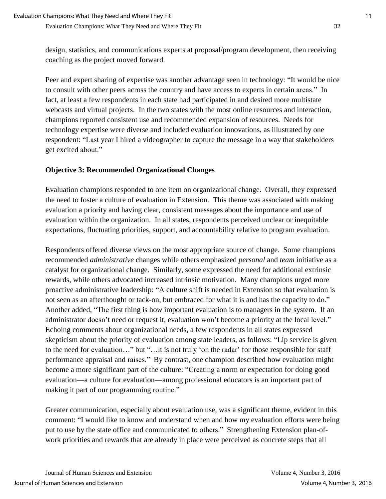design, statistics, and communications experts at proposal/program development, then receiving coaching as the project moved forward.

Peer and expert sharing of expertise was another advantage seen in technology: "It would be nice to consult with other peers across the country and have access to experts in certain areas." In fact, at least a few respondents in each state had participated in and desired more multistate webcasts and virtual projects. In the two states with the most online resources and interaction, champions reported consistent use and recommended expansion of resources. Needs for technology expertise were diverse and included evaluation innovations, as illustrated by one respondent: "Last year I hired a videographer to capture the message in a way that stakeholders get excited about."

## **Objective 3: Recommended Organizational Changes**

Evaluation champions responded to one item on organizational change. Overall, they expressed the need to foster a culture of evaluation in Extension. This theme was associated with making evaluation a priority and having clear, consistent messages about the importance and use of evaluation within the organization. In all states, respondents perceived unclear or inequitable expectations, fluctuating priorities, support, and accountability relative to program evaluation.

Respondents offered diverse views on the most appropriate source of change. Some champions recommended *administrative* changes while others emphasized *personal* and *team* initiative as a catalyst for organizational change. Similarly, some expressed the need for additional extrinsic rewards, while others advocated increased intrinsic motivation. Many champions urged more proactive administrative leadership: "A culture shift is needed in Extension so that evaluation is not seen as an afterthought or tack-on, but embraced for what it is and has the capacity to do." Another added, "The first thing is how important evaluation is to managers in the system. If an administrator doesn't need or request it, evaluation won't become a priority at the local level." Echoing comments about organizational needs, a few respondents in all states expressed skepticism about the priority of evaluation among state leaders, as follows: "Lip service is given to the need for evaluation…" but "…it is not truly 'on the radar' for those responsible for staff performance appraisal and raises." By contrast, one champion described how evaluation might become a more significant part of the culture: "Creating a norm or expectation for doing good evaluation—a culture for evaluation—among professional educators is an important part of making it part of our programming routine."

Greater communication, especially about evaluation use, was a significant theme, evident in this comment: "I would like to know and understand when and how my evaluation efforts were being put to use by the state office and communicated to others." Strengthening Extension plan-ofwork priorities and rewards that are already in place were perceived as concrete steps that all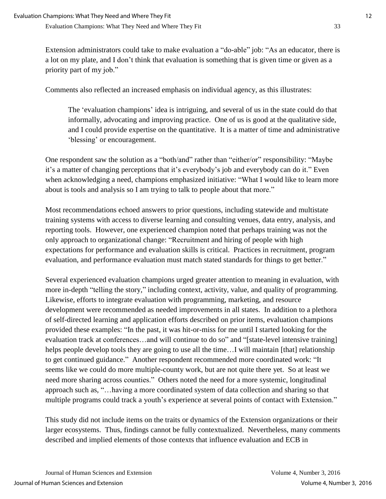Extension administrators could take to make evaluation a "do-able" job: "As an educator, there is a lot on my plate, and I don't think that evaluation is something that is given time or given as a priority part of my job."

Comments also reflected an increased emphasis on individual agency, as this illustrates:

The 'evaluation champions' idea is intriguing, and several of us in the state could do that informally, advocating and improving practice. One of us is good at the qualitative side, and I could provide expertise on the quantitative. It is a matter of time and administrative 'blessing' or encouragement.

One respondent saw the solution as a "both/and" rather than "either/or" responsibility: "Maybe it's a matter of changing perceptions that it's everybody's job and everybody can do it." Even when acknowledging a need, champions emphasized initiative: "What I would like to learn more about is tools and analysis so I am trying to talk to people about that more."

Most recommendations echoed answers to prior questions, including statewide and multistate training systems with access to diverse learning and consulting venues, data entry, analysis, and reporting tools. However, one experienced champion noted that perhaps training was not the only approach to organizational change: "Recruitment and hiring of people with high expectations for performance and evaluation skills is critical. Practices in recruitment, program evaluation, and performance evaluation must match stated standards for things to get better."

Several experienced evaluation champions urged greater attention to meaning in evaluation, with more in-depth "telling the story," including context, activity, value, and quality of programming. Likewise, efforts to integrate evaluation with programming, marketing, and resource development were recommended as needed improvements in all states. In addition to a plethora of self-directed learning and application efforts described on prior items, evaluation champions provided these examples: "In the past, it was hit-or-miss for me until I started looking for the evaluation track at conferences…and will continue to do so" and "[state-level intensive training] helps people develop tools they are going to use all the time... I will maintain [that] relationship to get continued guidance." Another respondent recommended more coordinated work: "It seems like we could do more multiple-county work, but are not quite there yet. So at least we need more sharing across counties." Others noted the need for a more systemic, longitudinal approach such as, "…having a more coordinated system of data collection and sharing so that multiple programs could track a youth's experience at several points of contact with Extension."

This study did not include items on the traits or dynamics of the Extension organizations or their larger ecosystems. Thus, findings cannot be fully contextualized. Nevertheless, many comments described and implied elements of those contexts that influence evaluation and ECB in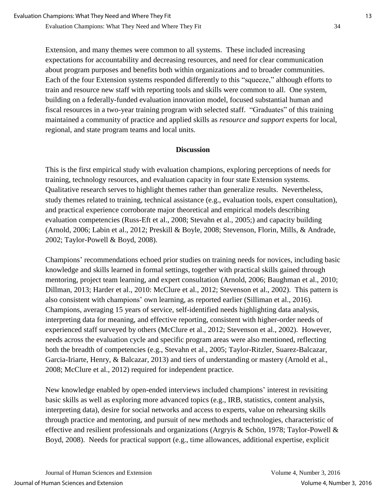Extension, and many themes were common to all systems. These included increasing expectations for accountability and decreasing resources, and need for clear communication about program purposes and benefits both within organizations and to broader communities. Each of the four Extension systems responded differently to this "squeeze," although efforts to train and resource new staff with reporting tools and skills were common to all. One system, building on a federally-funded evaluation innovation model, focused substantial human and fiscal resources in a two-year training program with selected staff. "Graduates" of this training maintained a community of practice and applied skills as *resource and support* experts for local, regional, and state program teams and local units.

#### **Discussion**

This is the first empirical study with evaluation champions, exploring perceptions of needs for training, technology resources, and evaluation capacity in four state Extension systems. Qualitative research serves to highlight themes rather than generalize results. Nevertheless, study themes related to training, technical assistance (e.g., evaluation tools, expert consultation), and practical experience corroborate major theoretical and empirical models describing evaluation competencies (Russ-Eft et al., 2008; Stevahn et al., 2005;) and capacity building (Arnold, 2006; Labin et al., 2012; Preskill & Boyle, 2008; Stevenson, Florin, Mills, & Andrade, 2002; Taylor-Powell & Boyd, 2008).

Champions' recommendations echoed prior studies on training needs for novices, including basic knowledge and skills learned in formal settings, together with practical skills gained through mentoring, project team learning, and expert consultation (Arnold, 2006; Baughman et al., 2010; Dillman, 2013; Harder et al., 2010: McClure et al., 2012; Stevenson et al., 2002). This pattern is also consistent with champions' own learning, as reported earlier (Silliman et al., 2016). Champions, averaging 15 years of service, self-identified needs highlighting data analysis, interpreting data for meaning, and effective reporting, consistent with higher-order needs of experienced staff surveyed by others (McClure et al., 2012; Stevenson et al., 2002). However, needs across the evaluation cycle and specific program areas were also mentioned, reflecting both the breadth of competencies (e.g., Stevahn et al., 2005; Taylor-Ritzler, Suarez-Balcazar, Garcia-Iriarte, Henry, & Balcazar, 2013) and tiers of understanding or mastery (Arnold et al., 2008; McClure et al., 2012) required for independent practice.

New knowledge enabled by open-ended interviews included champions' interest in revisiting basic skills as well as exploring more advanced topics (e.g., IRB, statistics, content analysis, interpreting data), desire for social networks and access to experts, value on rehearsing skills through practice and mentoring, and pursuit of new methods and technologies, characteristic of effective and resilient professionals and organizations (Argryis & Schön, 1978; Taylor-Powell & Boyd, 2008). Needs for practical support (e.g., time allowances, additional expertise, explicit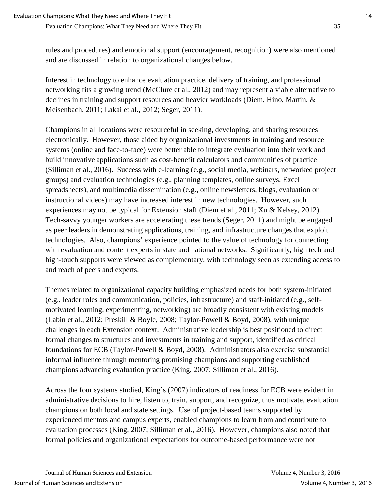rules and procedures) and emotional support (encouragement, recognition) were also mentioned and are discussed in relation to organizational changes below.

Interest in technology to enhance evaluation practice, delivery of training, and professional networking fits a growing trend (McClure et al., 2012) and may represent a viable alternative to declines in training and support resources and heavier workloads (Diem, Hino, Martin, & Meisenbach, 2011; Lakai et al., 2012; Seger, 2011).

Champions in all locations were resourceful in seeking, developing, and sharing resources electronically. However, those aided by organizational investments in training and resource systems (online and face-to-face) were better able to integrate evaluation into their work and build innovative applications such as cost-benefit calculators and communities of practice (Silliman et al., 2016). Success with e-learning (e.g., social media, webinars, networked project groups) and evaluation technologies (e.g., planning templates, online surveys, Excel spreadsheets), and multimedia dissemination (e.g., online newsletters, blogs, evaluation or instructional videos) may have increased interest in new technologies. However, such experiences may not be typical for Extension staff (Diem et al., 2011; Xu & Kelsey, 2012). Tech-savvy younger workers are accelerating these trends (Seger, 2011) and might be engaged as peer leaders in demonstrating applications, training, and infrastructure changes that exploit technologies. Also, champions' experience pointed to the value of technology for connecting with evaluation and content experts in state and national networks. Significantly, high tech and high-touch supports were viewed as complementary, with technology seen as extending access to and reach of peers and experts.

Themes related to organizational capacity building emphasized needs for both system-initiated (e.g., leader roles and communication, policies, infrastructure) and staff-initiated (e.g., selfmotivated learning, experimenting, networking) are broadly consistent with existing models (Labin et al., 2012; Preskill & Boyle, 2008; Taylor-Powell & Boyd, 2008), with unique challenges in each Extension context. Administrative leadership is best positioned to direct formal changes to structures and investments in training and support, identified as critical foundations for ECB (Taylor-Powell & Boyd, 2008). Administrators also exercise substantial informal influence through mentoring promising champions and supporting established champions advancing evaluation practice (King, 2007; Silliman et al., 2016).

Across the four systems studied, King's (2007) indicators of readiness for ECB were evident in administrative decisions to hire, listen to, train, support, and recognize, thus motivate, evaluation champions on both local and state settings. Use of project-based teams supported by experienced mentors and campus experts, enabled champions to learn from and contribute to evaluation processes (King, 2007; Silliman et al., 2016). However, champions also noted that formal policies and organizational expectations for outcome-based performance were not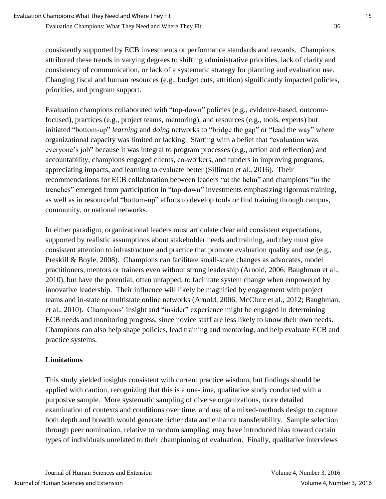consistently supported by ECB investments or performance standards and rewards. Champions attributed these trends in varying degrees to shifting administrative priorities, lack of clarity and consistency of communication, or lack of a systematic strategy for planning and evaluation use. Changing fiscal and human resources (e.g., budget cuts, attrition) significantly impacted policies, priorities, and program support.

Evaluation champions collaborated with "top-down" policies (e.g., evidence-based, outcomefocused), practices (e.g., project teams, mentoring), and resources (e.g., tools, experts) but initiated "bottom-up" *learning* and *doing* networks to "bridge the gap" or "lead the way" where organizational capacity was limited or lacking. Starting with a belief that "evaluation was everyone's job" because it was integral to program processes (e.g., action and reflection) and accountability, champions engaged clients, co-workers, and funders in improving programs, appreciating impacts, and learning to evaluate better (Silliman et al., 2016). Their recommendations for ECB collaboration between leaders "at the helm" and champions "in the trenches" emerged from participation in "top-down" investments emphasizing rigorous training, as well as in resourceful "bottom-up" efforts to develop tools or find training through campus, community, or national networks.

In either paradigm, organizational leaders must articulate clear and consistent expectations, supported by realistic assumptions about stakeholder needs and training, and they must give consistent attention to infrastructure and practice that promote evaluation quality and use (e.g., Preskill & Boyle, 2008). Champions can facilitate small-scale changes as advocates, model practitioners, mentors or trainers even without strong leadership (Arnold, 2006; Baughman et al., 2010), but have the potential, often untapped, to facilitate system change when empowered by innovative leadership. Their influence will likely be magnified by engagement with project teams and in-state or multistate online networks (Arnold, 2006; McClure et al., 2012; Baughman, et al., 2010). Champions' insight and "insider" experience might be engaged in determining ECB needs and monitoring progress, since novice staff are less likely to know their own needs. Champions can also help shape policies, lead training and mentoring, and help evaluate ECB and practice systems.

## **Limitations**

This study yielded insights consistent with current practice wisdom, but findings should be applied with caution, recognizing that this is a one-time, qualitative study conducted with a purposive sample. More systematic sampling of diverse organizations, more detailed examination of contexts and conditions over time, and use of a mixed-methods design to capture both depth and breadth would generate richer data and enhance transferability. Sample selection through peer nomination, relative to random sampling, may have introduced bias toward certain types of individuals unrelated to their championing of evaluation. Finally, qualitative interviews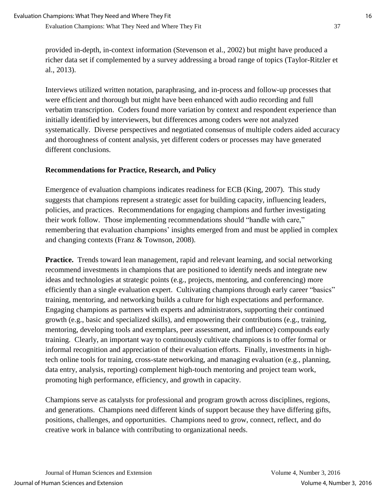provided in-depth, in-context information (Stevenson et al., 2002) but might have produced a richer data set if complemented by a survey addressing a broad range of topics (Taylor-Ritzler et al., 2013).

Interviews utilized written notation, paraphrasing, and in-process and follow-up processes that were efficient and thorough but might have been enhanced with audio recording and full verbatim transcription. Coders found more variation by context and respondent experience than initially identified by interviewers, but differences among coders were not analyzed systematically. Diverse perspectives and negotiated consensus of multiple coders aided accuracy and thoroughness of content analysis, yet different coders or processes may have generated different conclusions.

### **Recommendations for Practice, Research, and Policy**

Emergence of evaluation champions indicates readiness for ECB (King, 2007). This study suggests that champions represent a strategic asset for building capacity, influencing leaders, policies, and practices. Recommendations for engaging champions and further investigating their work follow. Those implementing recommendations should "handle with care," remembering that evaluation champions' insights emerged from and must be applied in complex and changing contexts (Franz & Townson, 2008).

**Practice.** Trends toward lean management, rapid and relevant learning, and social networking recommend investments in champions that are positioned to identify needs and integrate new ideas and technologies at strategic points (e.g., projects, mentoring, and conferencing) more efficiently than a single evaluation expert. Cultivating champions through early career "basics" training, mentoring, and networking builds a culture for high expectations and performance. Engaging champions as partners with experts and administrators, supporting their continued growth (e.g., basic and specialized skills), and empowering their contributions (e.g., training, mentoring, developing tools and exemplars, peer assessment, and influence) compounds early training. Clearly, an important way to continuously cultivate champions is to offer formal or informal recognition and appreciation of their evaluation efforts. Finally, investments in hightech online tools for training, cross-state networking, and managing evaluation (e.g., planning, data entry, analysis, reporting) complement high-touch mentoring and project team work, promoting high performance, efficiency, and growth in capacity.

Champions serve as catalysts for professional and program growth across disciplines, regions, and generations. Champions need different kinds of support because they have differing gifts, positions, challenges, and opportunities. Champions need to grow, connect, reflect, and do creative work in balance with contributing to organizational needs.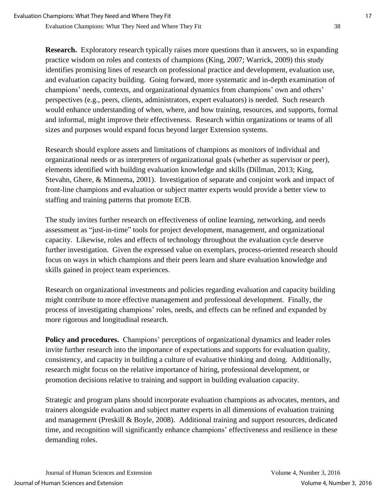**Research.** Exploratory research typically raises more questions than it answers, so in expanding practice wisdom on roles and contexts of champions (King, 2007; Warrick, 2009) this study identifies promising lines of research on professional practice and development, evaluation use, and evaluation capacity building. Going forward, more systematic and in-depth examination of champions' needs, contexts, and organizational dynamics from champions' own and others' perspectives (e.g., peers, clients, administrators, expert evaluators) is needed. Such research would enhance understanding of when, where, and how training, resources, and supports, formal and informal, might improve their effectiveness. Research within organizations or teams of all sizes and purposes would expand focus beyond larger Extension systems.

Research should explore assets and limitations of champions as monitors of individual and organizational needs or as interpreters of organizational goals (whether as supervisor or peer), elements identified with building evaluation knowledge and skills (Dillman, 2013; King, Stevahn, Ghere, & Minnema, 2001). Investigation of separate and conjoint work and impact of front-line champions and evaluation or subject matter experts would provide a better view to staffing and training patterns that promote ECB.

The study invites further research on effectiveness of online learning, networking, and needs assessment as "just-in-time" tools for project development, management, and organizational capacity. Likewise, roles and effects of technology throughout the evaluation cycle deserve further investigation. Given the expressed value on exemplars, process-oriented research should focus on ways in which champions and their peers learn and share evaluation knowledge and skills gained in project team experiences.

Research on organizational investments and policies regarding evaluation and capacity building might contribute to more effective management and professional development. Finally, the process of investigating champions' roles, needs, and effects can be refined and expanded by more rigorous and longitudinal research.

Policy and procedures. Champions' perceptions of organizational dynamics and leader roles invite further research into the importance of expectations and supports for evaluation quality, consistency, and capacity in building a culture of evaluative thinking and doing. Additionally, research might focus on the relative importance of hiring, professional development, or promotion decisions relative to training and support in building evaluation capacity.

Strategic and program plans should incorporate evaluation champions as advocates, mentors, and trainers alongside evaluation and subject matter experts in all dimensions of evaluation training and management (Preskill & Boyle, 2008). Additional training and support resources, dedicated time, and recognition will significantly enhance champions' effectiveness and resilience in these demanding roles.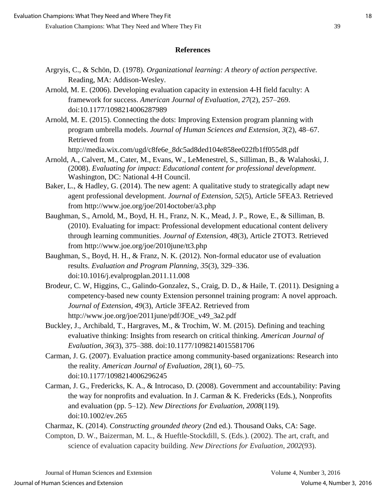#### **References**

- Argryis, C., & Schön, D. (1978). *Organizational learning: A theory of action perspective.* Reading, MA: Addison-Wesley.
- Arnold, M. E. (2006). Developing evaluation capacity in extension 4-H field faculty: A framework for success. *American Journal of Evaluation, 27*(2), 257–269. doi:10.1177/1098214006287989
- Arnold, M. E. (2015). Connecting the dots: Improving Extension program planning with program umbrella models. *Journal of Human Sciences and Extension, 3*(2), 48–67. Retrieved from

http://media.wix.com/ugd/c8fe6e\_8dc5ad8ded104e858ee022fb1ff055d8.pdf

- Arnold, A., Calvert, M., Cater, M., Evans, W., LeMenestrel, S., Silliman, B., & Walahoski, J. (2008). *Evaluating for impact: Educational content for professional development*. Washington, DC: National 4-H Council.
- Baker, L., & Hadley, G. (2014). The new agent: A qualitative study to strategically adapt new agent professional development. *Journal of Extension, 52*(5), Article 5FEA3. Retrieved from http://www.joe.org/joe/2014october/a3.php
- Baughman, S., Arnold, M., Boyd, H. H., Franz, N. K., Mead, J. P., Rowe, E., & Silliman, B. (2010). Evaluating for impact: Professional development educational content delivery through learning communities. *Journal of Extension*, *48*(3), Article 2TOT3. Retrieved from http://www.joe.org/joe/2010june/tt3.php
- Baughman, S., Boyd, H. H., & Franz, N. K. (2012). Non-formal educator use of evaluation results. *[Evaluation and Program Planning,](javascript:__doLinkPostBack() 35*(3), 329–336. doi:10.1016/j.evalprogplan.2011.11.008
- Brodeur, C. W, Higgins, C., Galindo-Gonzalez, S., Craig, D. D., & Haile, T. (2011). Designing a competency-based new county Extension personnel training program: A novel approach. *Journal of Extension, 49*(3), Article 3FEA2. Retrieved from http://www.joe.org/joe/2011june/pdf/JOE\_v49\_3a2.pdf
- Buckley, J., Archibald, T., Hargraves, M., & Trochim, W. M. (2015). Defining and teaching evaluative thinking: Insights from research on critical thinking. *American Journal of Evaluation*, *36*(3), 375–388. doi:10.1177/1098214015581706
- Carman, J. G. (2007). Evaluation practice among community-based organizations: Research into the reality. *American Journal of Evaluation, 28*(1), 60–75. doi:10.1177/1098214006296245
- Carman, J. G., Fredericks, K. A., & Introcaso, D. (2008). Government and accountability: Paving the way for nonprofits and evaluation. In J. Carman & K. Fredericks (Eds.), Nonprofits and evaluation (pp. 5–12). *New Directions for Evaluation*, *2008*(119)*.* doi:10.1002/ev.265
- Charmaz, K. (2014). *Constructing grounded theory* (2nd ed.). Thousand Oaks, CA: Sage.
- Compton, D. W., Baizerman, M. L., & Hueftle-Stockdill, S. (Eds.). (2002). The art, craft, and science of evaluation capacity building. *New Directions for Evaluation, 2002*(93).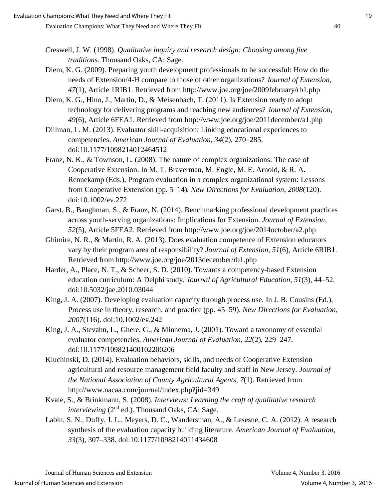- Creswell, J. W. (1998). *Qualitative inquiry and research design: Choosing among five traditions*. Thousand Oaks, CA: Sage.
- Diem, K. G. (2009). Preparing youth development professionals to be successful: How do the needs of Extension/4-H compare to those of other organizations? *Journal of Extension, 47*(1), Article 1RIB1. Retrieved from http://www.joe.org/joe/2009february/rb1.php
- Diem, K. G., Hino, J., Martin, D., & Meisenbach, T. (2011). Is Extension ready to adopt technology for delivering programs and reaching new audiences? *Journal of Extension, 49*(6), Article 6FEA1. Retrieved from http://www.joe.org/joe/2011december/a1.php
- Dillman, L. M. (2013). Evaluator skill-acquisition: Linking educational experiences to competencies. *American Journal of Evaluation, 34*(2), 270–285. doi:10.1177/1098214012464512
- Franz, N. K., & Townson, L. (2008). The nature of complex organizations: The case of Cooperative Extension. In M. T. Braverman, M. Engle, M. E. Arnold, & R. A. Rennekamp (Eds.), Program evaluation in a complex organizational system: Lessons from Cooperative Extension (pp. 5–14)*. New Directions for Evaluation, 2008*(120). doi:10.1002/ev.272
- Garst, B., Baughman, S., & Franz, N. (2014). Benchmarking professional development practices across youth-serving organizations: Implications for Extension. *Journal of Extension, 52*(5), Article 5FEA2. Retrieved from http://www.joe.org/joe/2014october/a2.php
- Ghimire, N. R., & Martin, R. A. (2013). Does evaluation competence of Extension educators vary by their program area of responsibility? *Journal of Extension, 51*(6), Article 6RIB1. Retrieved from http://www.joe.org/joe/2013december/rb1.php
- Harder, A., Place, N. T., & Scheer, S. D. (2010). Towards a competency-based Extension education curriculum: A Delphi study. *Journal of Agricultural Education, 51*(3), 44–52. doi:10.5032/jae.2010.03044
- King, J. A. (2007). Developing evaluation capacity through process use. In J. B. Cousins (Ed.), Process use in theory, research, and practice (pp. 45–59). *New Directions for Evaluation*, *2007*(116). doi:10.1002/ev.242
- King, J. A., Stevahn, L., Ghere, G., & Minnema, J. (2001). Toward a taxonomy of essential evaluator competencies. *American Journal of Evaluation, 22*(2), 229–247. doi:10.1177/109821400102200206
- Kluchinski, D. (2014). Evaluation behaviors, skills, and needs of Cooperative Extension agricultural and resource management field faculty and staff in New Jersey. *Journal of the National Association of County Agricultural Agents, 7*(1). Retrieved from http://www.nacaa.com/journal/index.php?jid=349
- Kvale, S., & Brinkmann, S. (2008). *Interviews: Learning the craft of qualitative research interviewing* (2<sup>nd</sup> ed.). Thousand Oaks, CA: Sage.
- Labin, S. N., Duffy, J. L., Meyers, D. C., Wandersman, A., & Lesesne, C. A. (2012). A research synthesis of the evaluation capacity building literature. *American Journal of Evaluation, 33*(3), 307–338. doi:10.1177/1098214011434608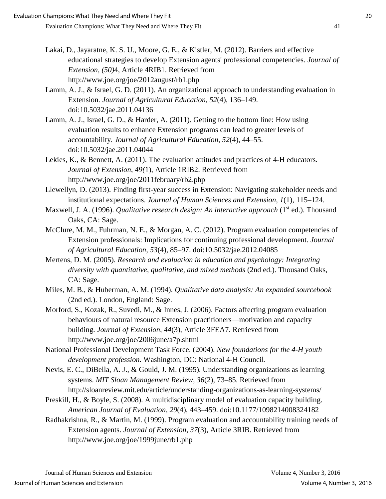- Lakai, D., Jayaratne, K. S. U., Moore, G. E., & Kistler, M. (2012). Barriers and effective educational strategies to develop Extension agents' professional competencies. *Journal of Extension, (50)*4, Article 4RIB1. Retrieved from http://www.joe.org/joe/2012august/rb1.php
- Lamm, A. J., & Israel, G. D. (2011). An organizational approach to understanding evaluation in Extension. *Journal of Agricultural Education, 52*(4), 136–149. doi:10.5032/jae.2011.04136
- Lamm, A. J., Israel, G. D., & Harder, A. (2011). Getting to the bottom line: How using evaluation results to enhance Extension programs can lead to greater levels of accountability. *Journal of Agricultural Education, 52*(4), 44–55. doi:10.5032/jae.2011.04044
- Lekies, K., & Bennett, A. (2011). The evaluation attitudes and practices of 4-H educators. *Journal of Extension, 49(*1), Article 1RIB2. Retrieved from http://www.joe.org/joe/2011february/rb2.php
- Llewellyn, D. (2013). Finding first-year success in Extension: Navigating stakeholder needs and institutional expectations. *Journal of Human Sciences and Extension, 1*(1), 115–124.
- Maxwell, J. A. (1996). *Qualitative research design: An interactive approach* (1<sup>st</sup> ed.). Thousand Oaks, CA: Sage.
- McClure, M. M., Fuhrman, N. E., & Morgan, A. C. (2012). Program evaluation competencies of Extension professionals: Implications for continuing professional development. *Journal of Agricultural Education, 53*(4), 85–97. doi:10.5032/jae.2012.04085
- Mertens, D. M. (2005). *Research and evaluation in education and psychology: Integrating diversity with quantitative, qualitative, and mixed methods* (2nd ed.). Thousand Oaks, CA: Sage.
- Miles, M. B., & Huberman, A. M. (1994). *Qualitative data analysis: An expanded sourcebook*  (2nd ed.). London, England: Sage.
- Morford, S., Kozak, R., Suvedi, M., & Innes, J. (2006). Factors affecting program evaluation behaviours of natural resource Extension practitioners—motivation and capacity building. *Journal of Extension, 44*(3), Article 3FEA7. Retrieved from http://www.joe.org/joe/2006june/a7p.shtml
- National Professional Development Task Force. (2004). *New foundations for the 4-H youth development profession.* Washington, DC: National 4-H Council.
- Nevis, E. C., DiBella, A. J., & Gould, J. M. (1995). Understanding organizations as learning systems. *MIT Sloan Management Review, 36*(2), 73–85. Retrieved from http://sloanreview.mit.edu/article/understanding-organizations-as-learning-systems/
- Preskill, H., & Boyle, S. (2008). A multidisciplinary model of evaluation capacity building. *American Journal of Evaluation, 29*(4), 443–459. doi:10.1177/1098214008324182
- Radhakrishna, R., & Martin, M. (1999). Program evaluation and accountability training needs of Extension agents. *Journal of Extension, 37*(3), Article 3RIB. Retrieved from http://www.joe.org/joe/1999june/rb1.php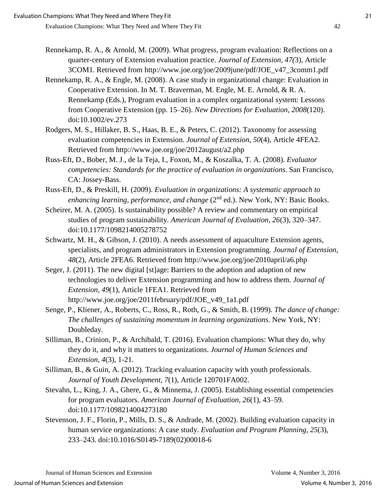- Rennekamp, R. A., & Arnold, M. (2009). What progress, program evaluation: Reflections on a quarter-century of Extension evaluation practice. *Journal of Extension, 47(*3), Article 3COM1. Retrieved from http://www.joe.org/joe/2009june/pdf/JOE\_v47\_3comm1.pdf
- Rennekamp, R. A., & Engle, M. (2008). A case study in organizational change: Evaluation in Cooperative Extension. In M. T. Braverman, M. Engle, M. E. Arnold, & R. A. Rennekamp (Eds.), Program evaluation in a complex organizational system: Lessons from Cooperative Extension (pp. 15–26). *New Directions for Evaluation, 2008*(120). doi:10.1002/ev.273
- Rodgers, M. S., Hillaker, B. S., Haas, B. E., & Peters, C. (2012). Taxonomy for assessing evaluation competencies in Extension. *Journal of Extension, 50*(4), Article 4FEA2. Retrieved from http://www.joe.org/joe/2012august/a2.php
- Russ-Eft, D., Bober, M. J., de la Teja, I., Foxon, M., & Koszalka, T. A. (2008). *Evaluator competencies: Standards for the practice of evaluation in organizations*. San Francisco, CA: Jossey-Bass.
- Russ-Eft, D., & Preskill, H. (2009). *Evaluation in organizations: A systematic approach to enhancing learning, performance, and change* (2<sup>nd</sup> ed.). New York, NY: Basic Books.
- Scheirer, M. A. (2005). Is sustainability possible? A review and commentary on empirical studies of program sustainability. *American Journal of Evaluation, 26*(3), 320–347. doi:10.1177/1098214005278752
- Schwartz, M. H., & Gibson, J. (2010). A needs assessment of aquaculture Extension agents, specialists, and program administrators in Extension programming. *Journal of Extension, 48*(2), Article 2FEA6. Retrieved from http://www.joe.org/joe/2010april/a6.php
- Seger, J. (2011). The new digital [st]age: Barriers to the adoption and adaption of new technologies to deliver Extension programming and how to address them. *Journal of Extension, 49*(1), Article 1FEA1. Retrieved from http://www.joe.org/joe/2011february/pdf/JOE\_v49\_1a1.pdf
- Senge, P., Kliener, A., Roberts, C., Ross, R., Roth, G., & Smith, B. (1999). *The dance of change: The challenges of sustaining momentum in learning organizations*. New York, NY: Doubleday.
- Silliman, B., Crinion, P., & Archibald, T. (2016). Evaluation champions: What they do, why they do it, and why it matters to organizations. *Journal of Human Sciences and Extension, 4*(3), 1-21.
- Silliman, B., & Guin, A. (2012). Tracking evaluation capacity with youth professionals. *Journal of Youth Development*, *7*(1), Article 120701FA002.
- Stevahn, L., King, J. A., Ghere, G., & Minnema, J. (2005). Establishing essential competencies for program evaluators. *American Journal of Evaluation, 26*(1), 43–59. doi:10.1177/1098214004273180
- Stevenson, J. F., Florin, P., Mills, D. S., & Andrade, M. (2002). Building evaluation capacity in human service organizations: A case study. *Evaluation and Program Planning, 25*(3), 233–243. doi:10.1016/S0149-7189(02)00018-6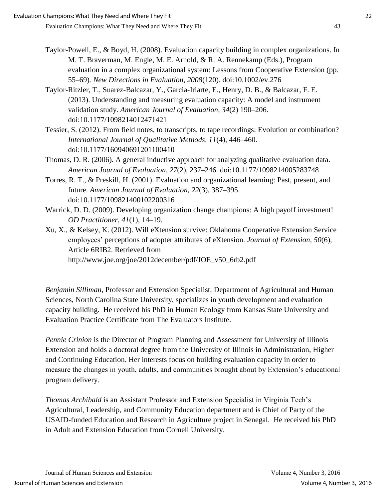- Taylor-Powell, E., & Boyd, H. (2008). Evaluation capacity building in complex organizations. In M. T. Braverman, M. Engle, M. E. Arnold, & R. A. Rennekamp (Eds.), Program evaluation in a complex organizational system: Lessons from Cooperative Extension (pp. 55–69)*. New Directions in Evaluation, 2008*(120). doi:10.1002/ev.276
- Taylor-Ritzler, T., Suarez-Balcazar, Y., Garcia-Iriarte, E., Henry, D. B., & Balcazar, F. E. (2013). Understanding and measuring evaluation capacity: A model and instrument validation study. *American Journal of Evaluation, 34*(2) 190–206. doi:10.1177/1098214012471421
- Tessier, S. (2012). From field notes, to transcripts, to tape recordings: Evolution or combination? *International Journal of Qualitative Methods, 11*(4)*,* 446–460. doi:10.1177/160940691201100410
- Thomas, D. R. (2006). A general inductive approach for analyzing qualitative evaluation data. *American Journal of Evaluation*, *27*(2), 237–246. doi:10.1177/1098214005283748
- Torres, R. T., & Preskill, H. (2001). Evaluation and organizational learning: Past, present, and future. *American Journal of Evaluation, 22*(3), 387–395. doi:10.1177/109821400102200316
- Warrick, D. D. (2009). Developing organization change champions: A high payoff investment! *OD Practitioner*, *41*(1), 14–19.
- Xu, X., & Kelsey, K. (2012). Will eXtension survive: Oklahoma Cooperative Extension Service employees' perceptions of adopter attributes of eXtension. *Journal of Extension, 50*(6), Article 6RIB2. Retrieved from http://www.joe.org/joe/2012december/pdf/JOE\_v50\_6rb2.pdf

*Benjamin Silliman*, Professor and Extension Specialist, Department of Agricultural and Human Sciences, North Carolina State University, specializes in youth development and evaluation capacity building. He received his PhD in Human Ecology from Kansas State University and Evaluation Practice Certificate from The Evaluators Institute.

*Pennie Crinion* is the Director of Program Planning and Assessment for University of Illinois Extension and holds a doctoral degree from the University of Illinois in Administration, Higher and Continuing Education. Her interests focus on building evaluation capacity in order to measure the changes in youth, adults, and communities brought about by Extension's educational program delivery.

*Thomas Archibald* is an Assistant Professor and Extension Specialist in Virginia Tech's Agricultural, Leadership, and Community Education department and is Chief of Party of the USAID-funded Education and Research in Agriculture project in Senegal. He received his PhD in Adult and Extension Education from Cornell University.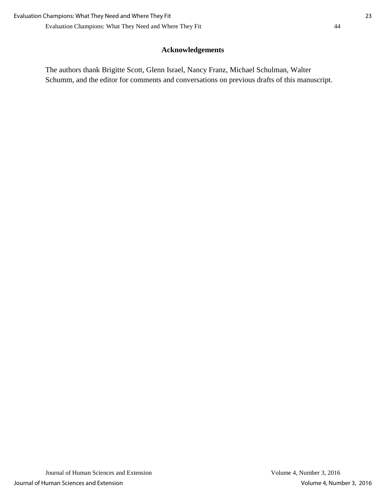## **Acknowledgements**

The authors thank Brigitte Scott, Glenn Israel, Nancy Franz, Michael Schulman, Walter Schumm, and the editor for comments and conversations on previous drafts of this manuscript.